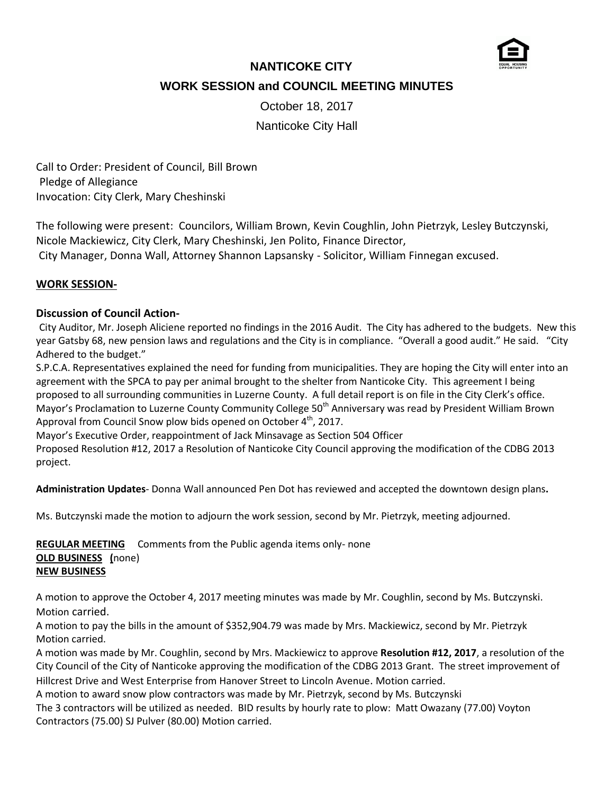

# **NANTICOKE CITY WORK SESSION and COUNCIL MEETING MINUTES**

October 18, 2017

Nanticoke City Hall

Call to Order: President of Council, Bill Brown Pledge of Allegiance Invocation: City Clerk, Mary Cheshinski

The following were present: Councilors, William Brown, Kevin Coughlin, John Pietrzyk, Lesley Butczynski, Nicole Mackiewicz, City Clerk, Mary Cheshinski, Jen Polito, Finance Director,

City Manager, Donna Wall, Attorney Shannon Lapsansky - Solicitor, William Finnegan excused.

## **WORK SESSION-**

## **Discussion of Council Action-**

City Auditor, Mr. Joseph Aliciene reported no findings in the 2016 Audit. The City has adhered to the budgets. New this year Gatsby 68, new pension laws and regulations and the City is in compliance. "Overall a good audit." He said. "City Adhered to the budget."

S.P.C.A. Representatives explained the need for funding from municipalities. They are hoping the City will enter into an agreement with the SPCA to pay per animal brought to the shelter from Nanticoke City. This agreement I being proposed to all surrounding communities in Luzerne County. A full detail report is on file in the City Clerk's office. Mayor's Proclamation to Luzerne County Community College 50<sup>th</sup> Anniversary was read by President William Brown Approval from Council Snow plow bids opened on October 4<sup>th</sup>, 2017.

Mayor's Executive Order, reappointment of Jack Minsavage as Section 504 Officer Proposed Resolution #12, 2017 a Resolution of Nanticoke City Council approving the modification of the CDBG 2013 project.

**Administration Updates**- Donna Wall announced Pen Dot has reviewed and accepted the downtown design plans**.**

Ms. Butczynski made the motion to adjourn the work session, second by Mr. Pietrzyk, meeting adjourned.

**REGULAR MEETING** Comments from the Public agenda items only- none **OLD BUSINESS (**none) **NEW BUSINESS**

A motion to approve the October 4, 2017 meeting minutes was made by Mr. Coughlin, second by Ms. Butczynski. Motion carried.

A motion to pay the bills in the amount of \$352,904.79 was made by Mrs. Mackiewicz, second by Mr. Pietrzyk Motion carried.

A motion was made by Mr. Coughlin, second by Mrs. Mackiewicz to approve **Resolution #12, 2017**, a resolution of the City Council of the City of Nanticoke approving the modification of the CDBG 2013 Grant. The street improvement of Hillcrest Drive and West Enterprise from Hanover Street to Lincoln Avenue. Motion carried.

A motion to award snow plow contractors was made by Mr. Pietrzyk, second by Ms. Butczynski

The 3 contractors will be utilized as needed. BID results by hourly rate to plow: Matt Owazany (77.00) Voyton Contractors (75.00) SJ Pulver (80.00) Motion carried.